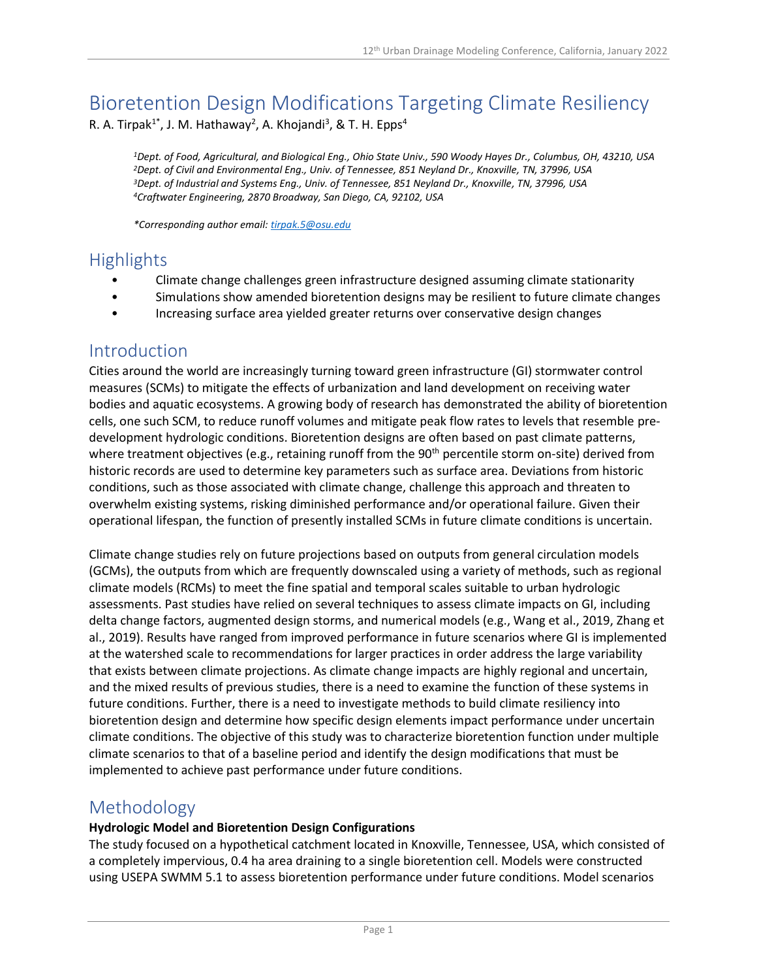# Bioretention Design Modifications Targeting Climate Resiliency

R. A. Tirpak<sup>1\*</sup>, J. M. Hathaway<sup>2</sup>, A. Khojandi<sup>3</sup>, & T. H. Epps<sup>4</sup>

*Dept. of Food, Agricultural, and Biological Eng., Ohio State Univ., 590 Woody Hayes Dr., Columbus, OH, 43210, USA Dept. of Civil and Environmental Eng., Univ. of Tennessee, 851 Neyland Dr., Knoxville, TN, 37996, USA Dept. of Industrial and Systems Eng., Univ. of Tennessee, 851 Neyland Dr., Knoxville, TN, 37996, USA Craftwater Engineering, 2870 Broadway, San Diego, CA, 92102, USA*

*\*Corresponding author email: [tirpak.5@osu.edu](mailto:tirpak.5@osu.edu)*

### **Highlights**

- Climate change challenges green infrastructure designed assuming climate stationarity
- Simulations show amended bioretention designs may be resilient to future climate changes
- Increasing surface area yielded greater returns over conservative design changes

### Introduction

Cities around the world are increasingly turning toward green infrastructure (GI) stormwater control measures (SCMs) to mitigate the effects of urbanization and land development on receiving water bodies and aquatic ecosystems. A growing body of research has demonstrated the ability of bioretention cells, one such SCM, to reduce runoff volumes and mitigate peak flow rates to levels that resemble predevelopment hydrologic conditions. Bioretention designs are often based on past climate patterns, where treatment objectives (e.g., retaining runoff from the 90<sup>th</sup> percentile storm on-site) derived from historic records are used to determine key parameters such as surface area. Deviations from historic conditions, such as those associated with climate change, challenge this approach and threaten to overwhelm existing systems, risking diminished performance and/or operational failure. Given their operational lifespan, the function of presently installed SCMs in future climate conditions is uncertain.

Climate change studies rely on future projections based on outputs from general circulation models (GCMs), the outputs from which are frequently downscaled using a variety of methods, such as regional climate models (RCMs) to meet the fine spatial and temporal scales suitable to urban hydrologic assessments. Past studies have relied on several techniques to assess climate impacts on GI, including delta change factors, augmented design storms, and numerical models (e.g., Wang et al., 2019, Zhang et al., 2019). Results have ranged from improved performance in future scenarios where GI is implemented at the watershed scale to recommendations for larger practices in order address the large variability that exists between climate projections. As climate change impacts are highly regional and uncertain, and the mixed results of previous studies, there is a need to examine the function of these systems in future conditions. Further, there is a need to investigate methods to build climate resiliency into bioretention design and determine how specific design elements impact performance under uncertain climate conditions. The objective of this study was to characterize bioretention function under multiple climate scenarios to that of a baseline period and identify the design modifications that must be implemented to achieve past performance under future conditions.

### Methodology

#### **Hydrologic Model and Bioretention Design Configurations**

The study focused on a hypothetical catchment located in Knoxville, Tennessee, USA, which consisted of a completely impervious, 0.4 ha area draining to a single bioretention cell. Models were constructed using USEPA SWMM 5.1 to assess bioretention performance under future conditions. Model scenarios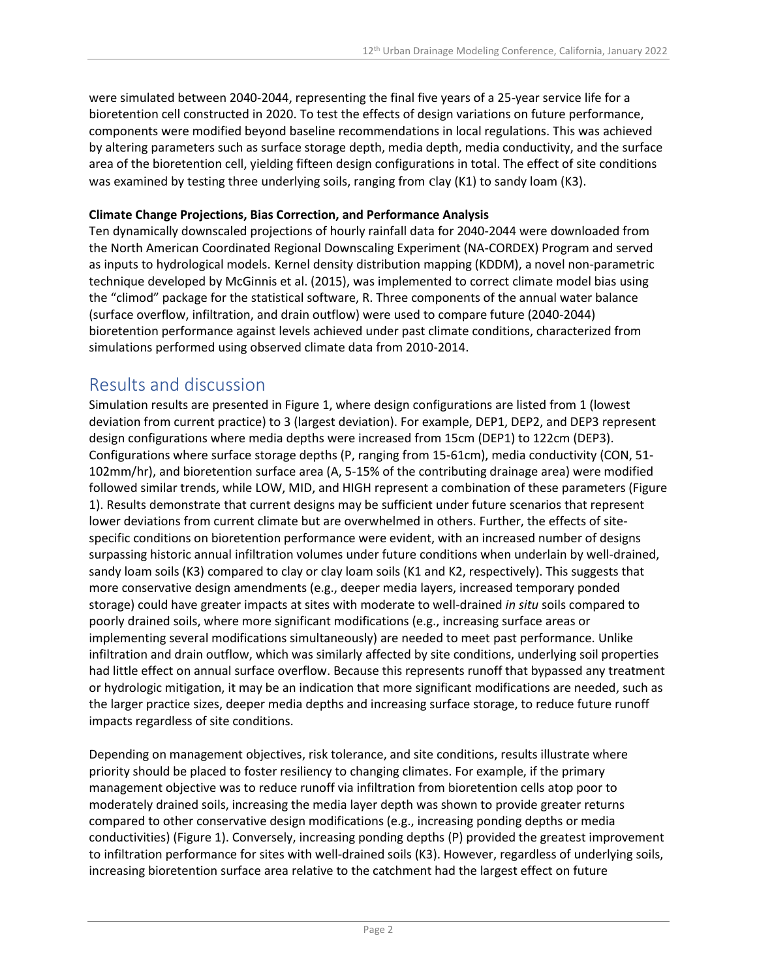were simulated between 2040-2044, representing the final five years of a 25-year service life for a bioretention cell constructed in 2020. To test the effects of design variations on future performance, components were modified beyond baseline recommendations in local regulations. This was achieved by altering parameters such as surface storage depth, media depth, media conductivity, and the surface area of the bioretention cell, yielding fifteen design configurations in total. The effect of site conditions was examined by testing three underlying soils, ranging from clay (K1) to sandy loam (K3).

#### **Climate Change Projections, Bias Correction, and Performance Analysis**

Ten dynamically downscaled projections of hourly rainfall data for 2040-2044 were downloaded from the North American Coordinated Regional Downscaling Experiment (NA-CORDEX) Program and served as inputs to hydrological models. Kernel density distribution mapping (KDDM), a novel non-parametric technique developed by McGinnis et al. (2015), was implemented to correct climate model bias using the "climod" package for the statistical software, R. Three components of the annual water balance (surface overflow, infiltration, and drain outflow) were used to compare future (2040-2044) bioretention performance against levels achieved under past climate conditions, characterized from simulations performed using observed climate data from 2010-2014.

### Results and discussion

Simulation results are presented in Figure 1, where design configurations are listed from 1 (lowest deviation from current practice) to 3 (largest deviation). For example, DEP1, DEP2, and DEP3 represent design configurations where media depths were increased from 15cm (DEP1) to 122cm (DEP3). Configurations where surface storage depths (P, ranging from 15-61cm), media conductivity (CON, 51- 102mm/hr), and bioretention surface area (A, 5-15% of the contributing drainage area) were modified followed similar trends, while LOW, MID, and HIGH represent a combination of these parameters (Figure 1). Results demonstrate that current designs may be sufficient under future scenarios that represent lower deviations from current climate but are overwhelmed in others. Further, the effects of sitespecific conditions on bioretention performance were evident, with an increased number of designs surpassing historic annual infiltration volumes under future conditions when underlain by well-drained, sandy loam soils (K3) compared to clay or clay loam soils (K1 and K2, respectively). This suggests that more conservative design amendments (e.g., deeper media layers, increased temporary ponded storage) could have greater impacts at sites with moderate to well-drained *in situ* soils compared to poorly drained soils, where more significant modifications (e.g., increasing surface areas or implementing several modifications simultaneously) are needed to meet past performance. Unlike infiltration and drain outflow, which was similarly affected by site conditions, underlying soil properties had little effect on annual surface overflow. Because this represents runoff that bypassed any treatment or hydrologic mitigation, it may be an indication that more significant modifications are needed, such as the larger practice sizes, deeper media depths and increasing surface storage, to reduce future runoff impacts regardless of site conditions.

Depending on management objectives, risk tolerance, and site conditions, results illustrate where priority should be placed to foster resiliency to changing climates. For example, if the primary management objective was to reduce runoff via infiltration from bioretention cells atop poor to moderately drained soils, increasing the media layer depth was shown to provide greater returns compared to other conservative design modifications (e.g., increasing ponding depths or media conductivities) (Figure 1). Conversely, increasing ponding depths (P) provided the greatest improvement to infiltration performance for sites with well-drained soils (K3). However, regardless of underlying soils, increasing bioretention surface area relative to the catchment had the largest effect on future